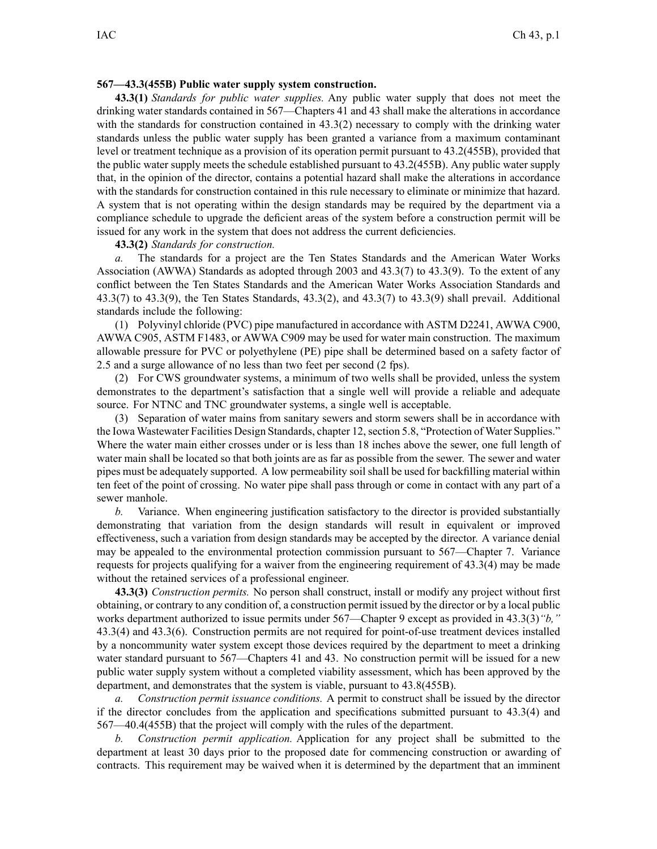#### **567—43.3(455B) Public water supply system construction.**

**43.3(1)** *Standards for public water supplies.* Any public water supply that does not meet the drinking water standards contained in 567—Chapters 41 and 43 shall make the alterations in accordance with the standards for construction contained in 43.3(2) necessary to comply with the drinking water standards unless the public water supply has been granted <sup>a</sup> variance from <sup>a</sup> maximum contaminant level or treatment technique as <sup>a</sup> provision of its operation permit pursuan<sup>t</sup> to 43.2(455B), provided that the public water supply meets the schedule established pursuan<sup>t</sup> to 43.2(455B). Any public water supply that, in the opinion of the director, contains <sup>a</sup> potential hazard shall make the alterations in accordance with the standards for construction contained in this rule necessary to eliminate or minimize that hazard. A system that is not operating within the design standards may be required by the department via <sup>a</sup> compliance schedule to upgrade the deficient areas of the system before <sup>a</sup> construction permit will be issued for any work in the system that does not address the current deficiencies.

#### **43.3(2)** *Standards for construction.*

*a.* The standards for <sup>a</sup> project are the Ten States Standards and the American Water Works Association (AWWA) Standards as adopted through 2003 and 43.3(7) to 43.3(9). To the extent of any conflict between the Ten States Standards and the American Water Works Association Standards and 43.3(7) to 43.3(9), the Ten States Standards, 43.3(2), and 43.3(7) to 43.3(9) shall prevail. Additional standards include the following:

(1) Polyvinyl chloride (PVC) pipe manufactured in accordance with ASTM D2241, AWWA C900, AWWA C905, ASTM F1483, or AWWA C909 may be used for water main construction. The maximum allowable pressure for PVC or polyethylene (PE) pipe shall be determined based on <sup>a</sup> safety factor of 2.5 and <sup>a</sup> surge allowance of no less than two feet per second (2 fps).

(2) For CWS groundwater systems, <sup>a</sup> minimum of two wells shall be provided, unless the system demonstrates to the department's satisfaction that <sup>a</sup> single well will provide <sup>a</sup> reliable and adequate source. For NTNC and TNC groundwater systems, <sup>a</sup> single well is acceptable.

(3) Separation of water mains from sanitary sewers and storm sewers shall be in accordance with the Iowa Wastewater Facilities Design Standards, chapter 12, section 5.8, "Protection of Water Supplies." Where the water main either crosses under or is less than 18 inches above the sewer, one full length of water main shall be located so that both joints are as far as possible from the sewer. The sewer and water pipes must be adequately supported. A low permeability soil shall be used for backfilling material within ten feet of the point of crossing. No water pipe shall pass through or come in contact with any par<sup>t</sup> of <sup>a</sup> sewer manhole.

*b.* Variance. When engineering justification satisfactory to the director is provided substantially demonstrating that variation from the design standards will result in equivalent or improved effectiveness, such <sup>a</sup> variation from design standards may be accepted by the director. A variance denial may be appealed to the environmental protection commission pursuan<sup>t</sup> to 567—Chapter 7. Variance requests for projects qualifying for <sup>a</sup> waiver from the engineering requirement of 43.3(4) may be made without the retained services of <sup>a</sup> professional engineer.

**43.3(3)** *Construction permits.* No person shall construct, install or modify any project without first obtaining, or contrary to any condition of, <sup>a</sup> construction permit issued by the director or by <sup>a</sup> local public works department authorized to issue permits under 567—Chapter 9 excep<sup>t</sup> as provided in 43.3(3)*"b,"* 43.3(4) and 43.3(6). Construction permits are not required for point-of-use treatment devices installed by <sup>a</sup> noncommunity water system excep<sup>t</sup> those devices required by the department to meet <sup>a</sup> drinking water standard pursuant to 567—Chapters 41 and 43. No construction permit will be issued for a new public water supply system without <sup>a</sup> completed viability assessment, which has been approved by the department, and demonstrates that the system is viable, pursuan<sup>t</sup> to 43.8(455B).

*a. Construction permit issuance conditions.* A permit to construct shall be issued by the director if the director concludes from the application and specifications submitted pursuan<sup>t</sup> to 43.3(4) and 567—40.4(455B) that the project will comply with the rules of the department.

*b. Construction permit application.* Application for any project shall be submitted to the department at least 30 days prior to the proposed date for commencing construction or awarding of contracts. This requirement may be waived when it is determined by the department that an imminent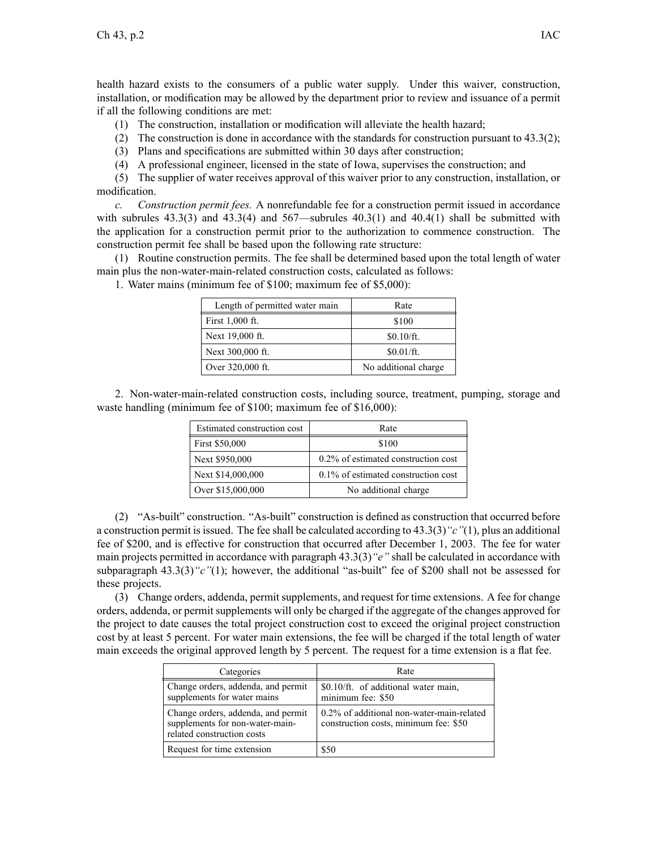health hazard exists to the consumers of <sup>a</sup> public water supply. Under this waiver, construction, installation, or modification may be allowed by the department prior to review and issuance of <sup>a</sup> permit if all the following conditions are met:

- (1) The construction, installation or modification will alleviate the health hazard;
- (2) The construction is done in accordance with the standards for construction pursuan<sup>t</sup> to 43.3(2);
- (3) Plans and specifications are submitted within 30 days after construction;
- (4) A professional engineer, licensed in the state of Iowa, supervises the construction; and

(5) The supplier of water receives approval of this waiver prior to any construction, installation, or modification.

*c. Construction permit fees.* A nonrefundable fee for <sup>a</sup> construction permit issued in accordance with subrules  $43.3(3)$  and  $43.3(4)$  and  $567$ —subrules  $40.3(1)$  and  $40.4(1)$  shall be submitted with the application for <sup>a</sup> construction permit prior to the authorization to commence construction. The construction permit fee shall be based upon the following rate structure:

(1) Routine construction permits. The fee shall be determined based upon the total length of water main plus the non-water-main-related construction costs, calculated as follows:

| Length of permitted water main | Rate                 |
|--------------------------------|----------------------|
| First 1,000 ft.                | \$100                |
| Next 19,000 ft.                | \$0.10/ft.           |
| Next 300,000 ft.               | \$0.01/ft.           |
| Over 320,000 ft.               | No additional charge |

1. Water mains (minimum fee of \$100; maximum fee of \$5,000):

2. Non-water-main-related construction costs, including source, treatment, pumping, storage and waste handling (minimum fee of \$100; maximum fee of \$16,000):

| Estimated construction cost | Rate                                   |
|-----------------------------|----------------------------------------|
| First \$50,000              | \$100                                  |
| Next \$950,000              | 0.2% of estimated construction cost    |
| Next \$14,000,000           | $0.1\%$ of estimated construction cost |
| Over \$15,000,000           | No additional charge                   |

(2) "As-built" construction. "As-built" construction is defined as construction that occurred before <sup>a</sup> construction permit isissued. The fee shall be calculated according to 43.3(3)*"c"*(1), plus an additional fee of \$200, and is effective for construction that occurred after December 1, 2003. The fee for water main projects permitted in accordance with paragraph 43.3(3)*"e"* shall be calculated in accordance with subparagraph 43.3(3) "c"(1); however, the additional "as-built" fee of \$200 shall not be assessed for these projects.

(3) Change orders, addenda, permit supplements, and reques<sup>t</sup> for time extensions. A fee for change orders, addenda, or permit supplements will only be charged if the aggregate of the changes approved for the project to date causes the total project construction cost to exceed the original project construction cost by at least 5 percent. For water main extensions, the fee will be charged if the total length of water main exceeds the original approved length by 5 percent. The reques<sup>t</sup> for <sup>a</sup> time extension is <sup>a</sup> flat fee.

| Categories                                                                                          | Rate                                                                               |
|-----------------------------------------------------------------------------------------------------|------------------------------------------------------------------------------------|
| Change orders, addenda, and permit<br>supplements for water mains                                   | \$0.10/ft. of additional water main,<br>minimum fee: \$50                          |
| Change orders, addenda, and permit<br>supplements for non-water-main-<br>related construction costs | 0.2% of additional non-water-main-related<br>construction costs, minimum fee: \$50 |
| Request for time extension                                                                          | \$50                                                                               |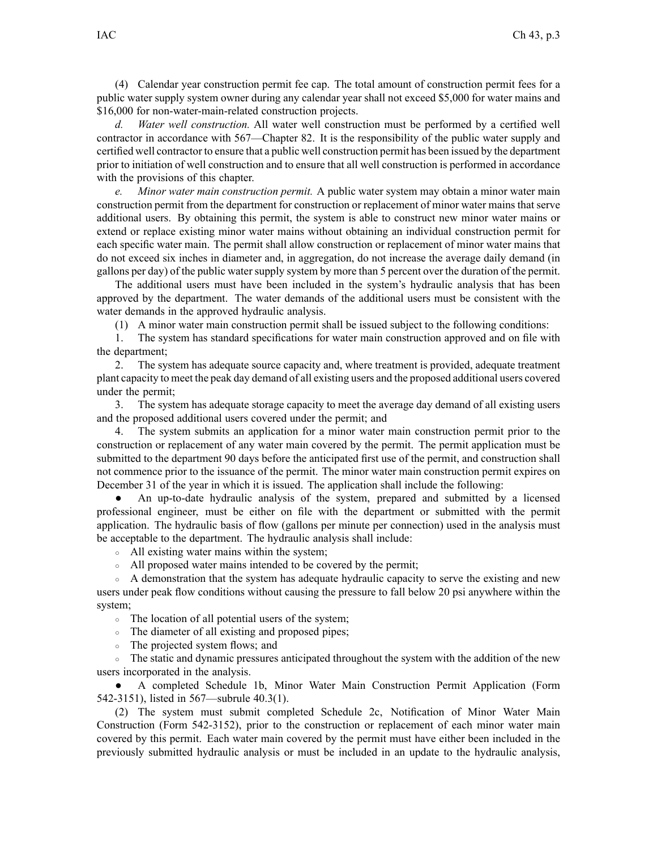(4) Calendar year construction permit fee cap. The total amount of construction permit fees for <sup>a</sup> public water supply system owner during any calendar year shall not exceed \$5,000 for water mains and \$16,000 for non-water-main-related construction projects.

*d. Water well construction.* All water well construction must be performed by <sup>a</sup> certified well contractor in accordance with 567—Chapter 82. It is the responsibility of the public water supply and certified well contractor to ensure that <sup>a</sup> public well construction permit has been issued by the department prior to initiation of well construction and to ensure that all well construction is performed in accordance with the provisions of this chapter.

*e. Minor water main construction permit.* A public water system may obtain <sup>a</sup> minor water main construction permit from the department for construction or replacement of minor water mains that serve additional users. By obtaining this permit, the system is able to construct new minor water mains or extend or replace existing minor water mains without obtaining an individual construction permit for each specific water main. The permit shall allow construction or replacement of minor water mains that do not exceed six inches in diameter and, in aggregation, do not increase the average daily demand (in gallons per day) of the public watersupply system by more than 5 percen<sup>t</sup> over the duration of the permit.

The additional users must have been included in the system's hydraulic analysis that has been approved by the department. The water demands of the additional users must be consistent with the water demands in the approved hydraulic analysis.

(1) A minor water main construction permit shall be issued subject to the following conditions:

1. The system has standard specifications for water main construction approved and on file with the department;

2. The system has adequate source capacity and, where treatment is provided, adequate treatment plant capacity to meet the peak day demand of all existing users and the proposed additional users covered under the permit;

3. The system has adequate storage capacity to meet the average day demand of all existing users and the proposed additional users covered under the permit; and

4. The system submits an application for <sup>a</sup> minor water main construction permit prior to the construction or replacement of any water main covered by the permit. The permit application must be submitted to the department 90 days before the anticipated first use of the permit, and construction shall not commence prior to the issuance of the permit. The minor water main construction permit expires on December 31 of the year in which it is issued. The application shall include the following:

● An up-to-date hydraulic analysis of the system, prepared and submitted by <sup>a</sup> licensed professional engineer, must be either on file with the department or submitted with the permit application. The hydraulic basis of flow (gallons per minute per connection) used in the analysis must be acceptable to the department. The hydraulic analysis shall include:

• All existing water mains within the system;

• All proposed water mains intended to be covered by the permit;

• A demonstration that the system has adequate hydraulic capacity to serve the existing and new users under peak flow conditions without causing the pressure to fall below 20 psi anywhere within the system;

• The location of all potential users of the system;

• The diameter of all existing and proposed pipes;

○ The projected system flows; and

• The static and dynamic pressures anticipated throughout the system with the addition of the new users incorporated in the analysis.

 $\bullet$  A completed Schedule 1b, Minor Water Main Construction Permit Application (Form 542-3151), listed in 567—subrule 40.3(1).

(2) The system must submit completed Schedule 2c, Notification of Minor Water Main Construction (Form 542-3152), prior to the construction or replacement of each minor water main covered by this permit. Each water main covered by the permit must have either been included in the previously submitted hydraulic analysis or must be included in an update to the hydraulic analysis,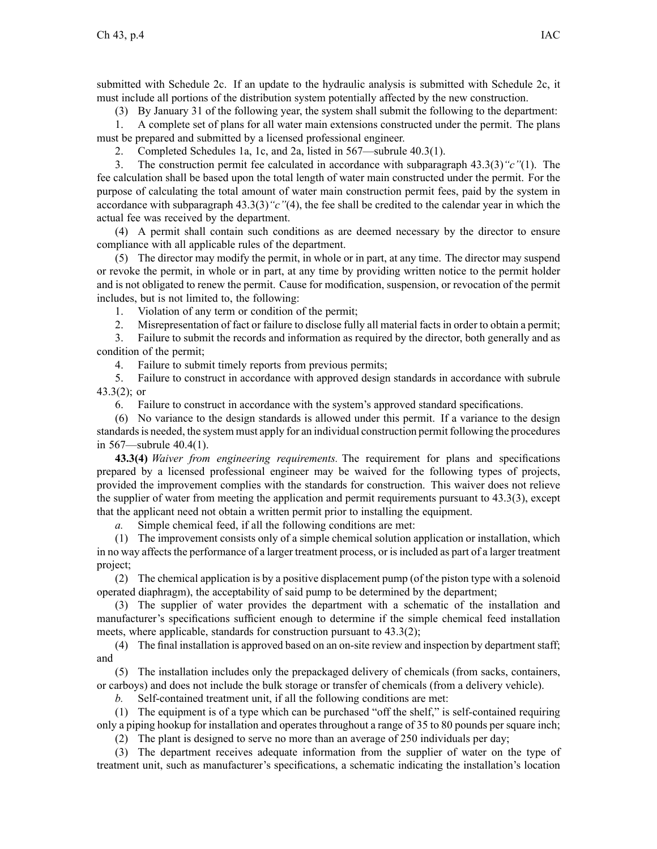submitted with Schedule 2c. If an update to the hydraulic analysis is submitted with Schedule 2c, it must include all portions of the distribution system potentially affected by the new construction.

(3) By January 31 of the following year, the system shall submit the following to the department:

1. A complete set of plans for all water main extensions constructed under the permit. The plans must be prepared and submitted by <sup>a</sup> licensed professional engineer.

2. Completed Schedules 1a, 1c, and 2a, listed in 567—subrule 40.3(1).

3. The construction permit fee calculated in accordance with subparagraph 43.3(3)*"c"*(1). The fee calculation shall be based upon the total length of water main constructed under the permit. For the purpose of calculating the total amount of water main construction permit fees, paid by the system in accordance with subparagraph 43.3(3)*"c"*(4), the fee shall be credited to the calendar year in which the actual fee was received by the department.

(4) A permit shall contain such conditions as are deemed necessary by the director to ensure compliance with all applicable rules of the department.

(5) The director may modify the permit, in whole or in part, at any time. The director may suspend or revoke the permit, in whole or in part, at any time by providing written notice to the permit holder and is not obligated to renew the permit. Cause for modification, suspension, or revocation of the permit includes, but is not limited to, the following:

1. Violation of any term or condition of the permit;

2. Misrepresentation of fact or failure to disclose fully all material factsin order to obtain <sup>a</sup> permit;

3. Failure to submit the records and information as required by the director, both generally and as condition of the permit;

4. Failure to submit timely reports from previous permits;

5. Failure to construct in accordance with approved design standards in accordance with subrule 43.3(2); or

6. Failure to construct in accordance with the system's approved standard specifications.

(6) No variance to the design standards is allowed under this permit. If <sup>a</sup> variance to the design standardsis needed, the system must apply for an individual construction permit following the procedures in 567—subrule 40.4(1).

**43.3(4)** *Waiver from engineering requirements.* The requirement for plans and specifications prepared by <sup>a</sup> licensed professional engineer may be waived for the following types of projects, provided the improvement complies with the standards for construction. This waiver does not relieve the supplier of water from meeting the application and permit requirements pursuan<sup>t</sup> to 43.3(3), excep<sup>t</sup> that the applicant need not obtain <sup>a</sup> written permit prior to installing the equipment.

*a.* Simple chemical feed, if all the following conditions are met:

(1) The improvement consists only of <sup>a</sup> simple chemical solution application or installation, which in no way affects the performance of a larger treatment process, or is included as part of a larger treatment project;

(2) The chemical application is by <sup>a</sup> positive displacement pump (of the piston type with <sup>a</sup> solenoid operated diaphragm), the acceptability of said pump to be determined by the department;

(3) The supplier of water provides the department with <sup>a</sup> schematic of the installation and manufacturer's specifications sufficient enough to determine if the simple chemical feed installation meets, where applicable, standards for construction pursuan<sup>t</sup> to 43.3(2);

(4) The final installation is approved based on an on-site review and inspection by departmentstaff; and

(5) The installation includes only the prepackaged delivery of chemicals (from sacks, containers, or carboys) and does not include the bulk storage or transfer of chemicals (from <sup>a</sup> delivery vehicle).

*b.* Self-contained treatment unit, if all the following conditions are met:

(1) The equipment is of <sup>a</sup> type which can be purchased "off the shelf," is self-contained requiring only <sup>a</sup> piping hookup for installation and operates throughout <sup>a</sup> range of 35 to 80 pounds per square inch;

(2) The plant is designed to serve no more than an average of 250 individuals per day;

(3) The department receives adequate information from the supplier of water on the type of treatment unit, such as manufacturer's specifications, <sup>a</sup> schematic indicating the installation's location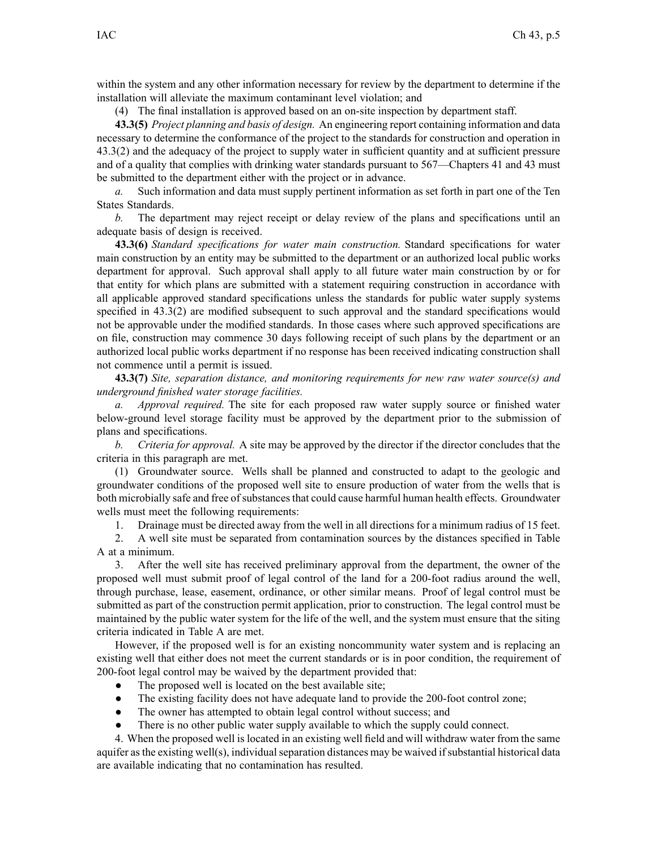within the system and any other information necessary for review by the department to determine if the installation will alleviate the maximum contaminant level violation; and

(4) The final installation is approved based on an on-site inspection by department staff.

**43.3(5)** *Project planning and basis of design.* An engineering repor<sup>t</sup> containing information and data necessary to determine the conformance of the project to the standards for construction and operation in 43.3(2) and the adequacy of the project to supply water in sufficient quantity and at sufficient pressure and of <sup>a</sup> quality that complies with drinking water standards pursuan<sup>t</sup> to 567—Chapters 41 and 43 must be submitted to the department either with the project or in advance.

*a.* Such information and data must supply pertinent information as set forth in par<sup>t</sup> one of the Ten States Standards.

*b.* The department may reject receipt or delay review of the plans and specifications until an adequate basis of design is received.

**43.3(6)** *Standard specifications for water main construction.* Standard specifications for water main construction by an entity may be submitted to the department or an authorized local public works department for approval. Such approval shall apply to all future water main construction by or for that entity for which plans are submitted with <sup>a</sup> statement requiring construction in accordance with all applicable approved standard specifications unless the standards for public water supply systems specified in 43.3(2) are modified subsequent to such approval and the standard specifications would not be approvable under the modified standards. In those cases where such approved specifications are on file, construction may commence 30 days following receipt of such plans by the department or an authorized local public works department if no response has been received indicating construction shall not commence until <sup>a</sup> permit is issued.

**43.3(7)** *Site, separation distance, and monitoring requirements for new raw water source(s) and underground finished water storage facilities.*

*a. Approval required.* The site for each proposed raw water supply source or finished water below-ground level storage facility must be approved by the department prior to the submission of plans and specifications.

*b. Criteria for approval.* A site may be approved by the director if the director concludes that the criteria in this paragraph are met.

(1) Groundwater source. Wells shall be planned and constructed to adapt to the geologic and groundwater conditions of the proposed well site to ensure production of water from the wells that is both microbially safe and free of substances that could cause harmful human health effects. Groundwater wells must meet the following requirements:

1. Drainage must be directed away from the well in all directions for <sup>a</sup> minimum radius of 15 feet.

2. A well site must be separated from contamination sources by the distances specified in Table A at <sup>a</sup> minimum.

3. After the well site has received preliminary approval from the department, the owner of the proposed well must submit proof of legal control of the land for <sup>a</sup> 200-foot radius around the well, through purchase, lease, easement, ordinance, or other similar means. Proof of legal control must be submitted as par<sup>t</sup> of the construction permit application, prior to construction. The legal control must be maintained by the public water system for the life of the well, and the system must ensure that the siting criteria indicated in Table A are met.

However, if the proposed well is for an existing noncommunity water system and is replacing an existing well that either does not meet the current standards or is in poor condition, the requirement of 200-foot legal control may be waived by the department provided that:

- ●The proposed well is located on the best available site;
- $\bullet$ The existing facility does not have adequate land to provide the 200-foot control zone;
- $\bullet$ The owner has attempted to obtain legal control without success; and
- ●There is no other public water supply available to which the supply could connect.

4. When the proposed well is located in an existing well field and will withdraw water from the same aquifer as the existing well(s), individual separation distances may be waived if substantial historical data are available indicating that no contamination has resulted.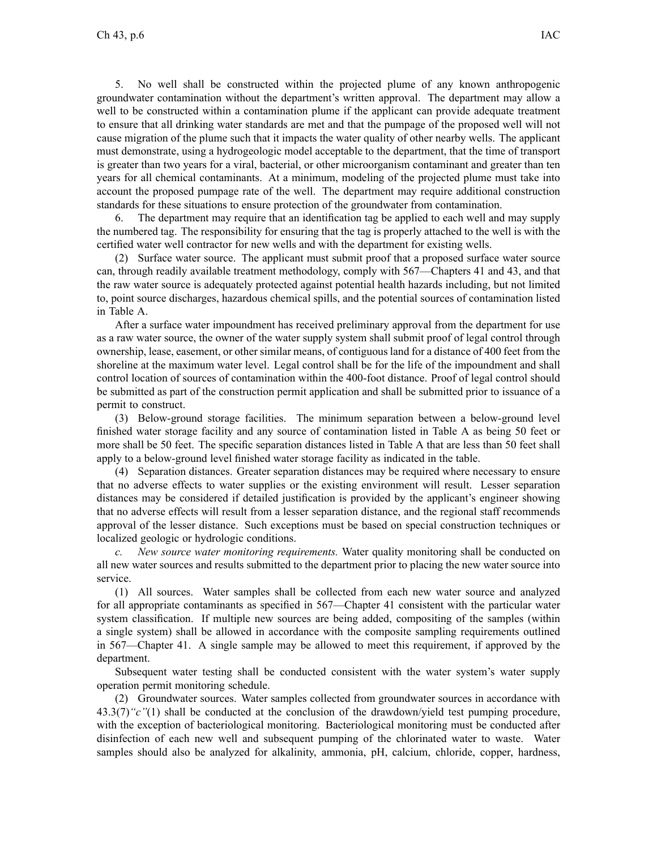5. No well shall be constructed within the projected plume of any known anthropogenic groundwater contamination without the department's written approval. The department may allow <sup>a</sup> well to be constructed within <sup>a</sup> contamination plume if the applicant can provide adequate treatment to ensure that all drinking water standards are met and that the pumpage of the proposed well will not cause migration of the plume such that it impacts the water quality of other nearby wells. The applicant must demonstrate, using <sup>a</sup> hydrogeologic model acceptable to the department, that the time of transport is greater than two years for <sup>a</sup> viral, bacterial, or other microorganism contaminant and greater than ten years for all chemical contaminants. At <sup>a</sup> minimum, modeling of the projected plume must take into account the proposed pumpage rate of the well. The department may require additional construction standards for these situations to ensure protection of the groundwater from contamination.

6. The department may require that an identification tag be applied to each well and may supply the numbered tag. The responsibility for ensuring that the tag is properly attached to the well is with the certified water well contractor for new wells and with the department for existing wells.

(2) Surface water source. The applicant must submit proof that <sup>a</sup> proposed surface water source can, through readily available treatment methodology, comply with 567—Chapters 41 and 43, and that the raw water source is adequately protected against potential health hazards including, but not limited to, point source discharges, hazardous chemical spills, and the potential sources of contamination listed in Table A.

After <sup>a</sup> surface water impoundment has received preliminary approval from the department for use as <sup>a</sup> raw water source, the owner of the water supply system shall submit proof of legal control through ownership, lease, easement, or other similar means, of contiguous land for <sup>a</sup> distance of 400 feet from the shoreline at the maximum water level. Legal control shall be for the life of the impoundment and shall control location of sources of contamination within the 400-foot distance. Proof of legal control should be submitted as par<sup>t</sup> of the construction permit application and shall be submitted prior to issuance of <sup>a</sup> permit to construct.

(3) Below-ground storage facilities. The minimum separation between <sup>a</sup> below-ground level finished water storage facility and any source of contamination listed in Table A as being 50 feet or more shall be 50 feet. The specific separation distances listed in Table A that are less than 50 feet shall apply to <sup>a</sup> below-ground level finished water storage facility as indicated in the table.

(4) Separation distances. Greater separation distances may be required where necessary to ensure that no adverse effects to water supplies or the existing environment will result. Lesser separation distances may be considered if detailed justification is provided by the applicant's engineer showing that no adverse effects will result from <sup>a</sup> lesser separation distance, and the regional staff recommends approval of the lesser distance. Such exceptions must be based on special construction techniques or localized geologic or hydrologic conditions.

*c. New source water monitoring requirements.* Water quality monitoring shall be conducted on all new water sources and results submitted to the department prior to placing the new water source into service.

(1) All sources. Water samples shall be collected from each new water source and analyzed for all appropriate contaminants as specified in 567—Chapter 41 consistent with the particular water system classification. If multiple new sources are being added, compositing of the samples (within <sup>a</sup> single system) shall be allowed in accordance with the composite sampling requirements outlined in 567—Chapter 41. A single sample may be allowed to meet this requirement, if approved by the department.

Subsequent water testing shall be conducted consistent with the water system's water supply operation permit monitoring schedule.

(2) Groundwater sources. Water samples collected from groundwater sources in accordance with 43.3(7)*"c"*(1) shall be conducted at the conclusion of the drawdown/yield test pumping procedure, with the exception of bacteriological monitoring. Bacteriological monitoring must be conducted after disinfection of each new well and subsequent pumping of the chlorinated water to waste. Water samples should also be analyzed for alkalinity, ammonia, pH, calcium, chloride, copper, hardness,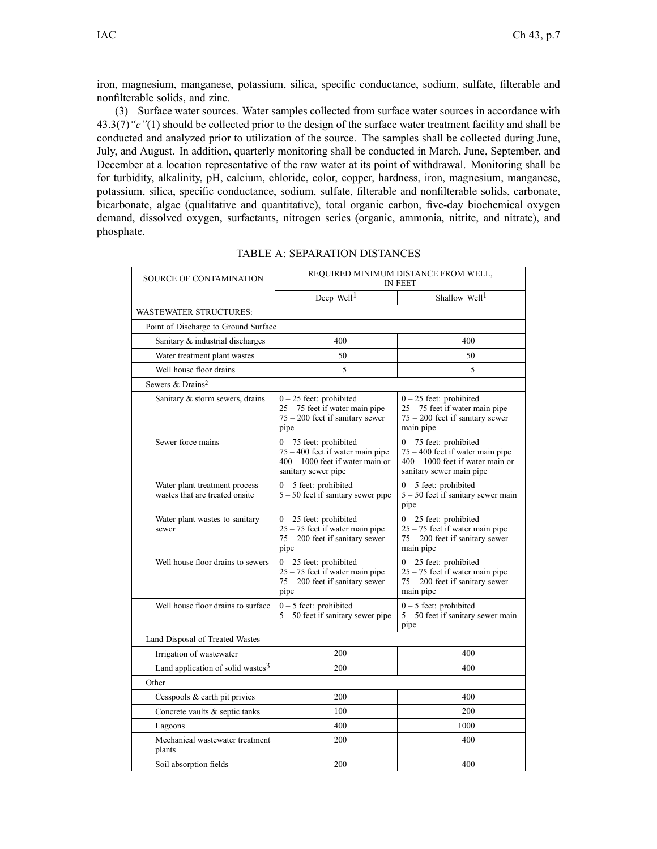iron, magnesium, manganese, potassium, silica, specific conductance, sodium, sulfate, filterable and nonfilterable solids, and zinc.

(3) Surface water sources. Water samples collected from surface water sources in accordance with 43.3(7)*"c"*(1) should be collected prior to the design of the surface water treatment facility and shall be conducted and analyzed prior to utilization of the source. The samples shall be collected during June, July, and August. In addition, quarterly monitoring shall be conducted in March, June, September, and December at <sup>a</sup> location representative of the raw water at its point of withdrawal. Monitoring shall be for turbidity, alkalinity, pH, calcium, chloride, color, copper, hardness, iron, magnesium, manganese, potassium, silica, specific conductance, sodium, sulfate, filterable and nonfilterable solids, carbonate, bicarbonate, algae (qualitative and quantitative), total organic carbon, five-day biochemical oxygen demand, dissolved oxygen, surfactants, nitrogen series (organic, ammonia, nitrite, and nitrate), and phosphate.

| <b>SOURCE OF CONTAMINATION</b>                                  | REQUIRED MINIMUM DISTANCE FROM WELL,<br>IN FEET                                                                              |                                                                                                                                   |
|-----------------------------------------------------------------|------------------------------------------------------------------------------------------------------------------------------|-----------------------------------------------------------------------------------------------------------------------------------|
|                                                                 | Deep Well <sup>1</sup>                                                                                                       | Shallow Well <sup>1</sup>                                                                                                         |
| <b>WASTEWATER STRUCTURES:</b>                                   |                                                                                                                              |                                                                                                                                   |
| Point of Discharge to Ground Surface                            |                                                                                                                              |                                                                                                                                   |
| Sanitary & industrial discharges                                | 400                                                                                                                          | 400                                                                                                                               |
| Water treatment plant wastes                                    | 50                                                                                                                           | 50                                                                                                                                |
| Well house floor drains                                         | 5                                                                                                                            | 5                                                                                                                                 |
| Sewers & Drains <sup>2</sup>                                    |                                                                                                                              |                                                                                                                                   |
| Sanitary & storm sewers, drains                                 | $0 - 25$ feet: prohibited<br>$25 - 75$ feet if water main pipe<br>$75 - 200$ feet if sanitary sewer<br>pipe                  | $0 - 25$ feet: prohibited<br>$25 - 75$ feet if water main pipe<br>$75 - 200$ feet if sanitary sewer<br>main pipe                  |
| Sewer force mains                                               | $0 - 75$ feet: prohibited<br>$75 - 400$ feet if water main pipe<br>$400 - 1000$ feet if water main or<br>sanitary sewer pipe | $0 - 75$ feet: prohibited<br>$75 - 400$ feet if water main pipe<br>$400 - 1000$ feet if water main or<br>sanitary sewer main pipe |
| Water plant treatment process<br>wastes that are treated onsite | $0 - 5$ feet: prohibited<br>$5 - 50$ feet if sanitary sewer pipe                                                             | $0 - 5$ feet: prohibited<br>$5 - 50$ feet if sanitary sewer main<br>pipe                                                          |
| Water plant wastes to sanitary<br>sewer                         | $0 - 25$ feet: prohibited<br>$25 - 75$ feet if water main pipe<br>$75 - 200$ feet if sanitary sewer<br>pipe                  | $0 - 25$ feet: prohibited<br>$25 - 75$ feet if water main pipe<br>$75 - 200$ feet if sanitary sewer<br>main pipe                  |
| Well house floor drains to sewers                               | $0 - 25$ feet: prohibited<br>$25 - 75$ feet if water main pipe<br>$75 - 200$ feet if sanitary sewer<br>pipe                  | $0 - 25$ feet: prohibited<br>$25 - 75$ feet if water main pipe<br>$75 - 200$ feet if sanitary sewer<br>main pipe                  |
| Well house floor drains to surface                              | $0 - 5$ feet: prohibited<br>$5 - 50$ feet if sanitary sewer pipe                                                             | $0 - 5$ feet: prohibited<br>$5 - 50$ feet if sanitary sewer main<br>pipe                                                          |
| Land Disposal of Treated Wastes                                 |                                                                                                                              |                                                                                                                                   |
| Irrigation of wastewater                                        | 200                                                                                                                          | 400                                                                                                                               |
| Land application of solid wastes <sup>3</sup>                   | 200                                                                                                                          | 400                                                                                                                               |
| Other                                                           |                                                                                                                              |                                                                                                                                   |
| Cesspools & earth pit privies                                   | 200                                                                                                                          | 400                                                                                                                               |
| Concrete vaults & septic tanks                                  | 100                                                                                                                          | 200                                                                                                                               |
| Lagoons                                                         | 400                                                                                                                          | 1000                                                                                                                              |
| Mechanical wastewater treatment<br>plants                       | 200                                                                                                                          | 400                                                                                                                               |
| Soil absorption fields                                          | 200                                                                                                                          | 400                                                                                                                               |

| <b>TABLE A: SEPARATION DISTANCES</b> |
|--------------------------------------|
|--------------------------------------|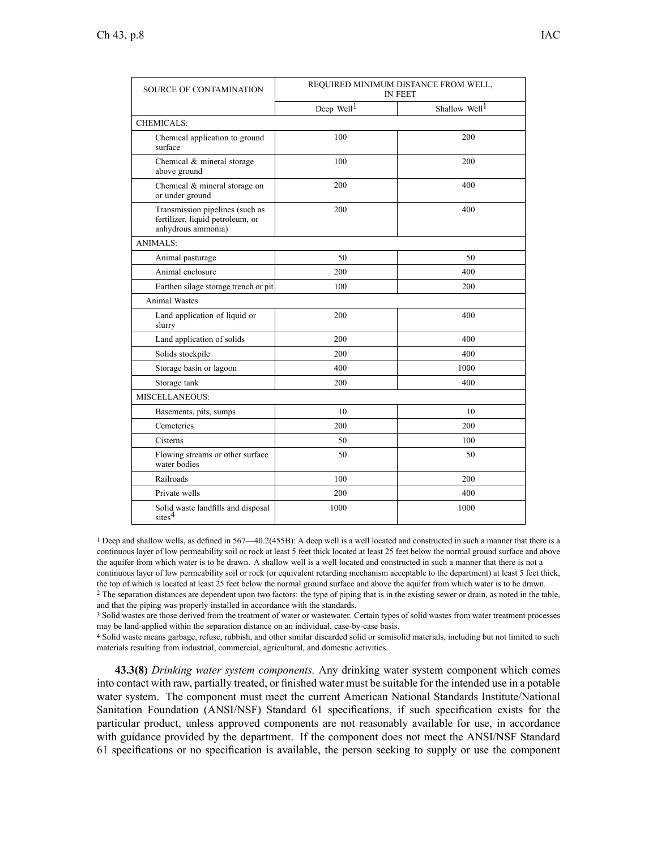| SOURCE OF CONTAMINATION                                                                   |               | REQUIRED MINIMUM DISTANCE FROM WELL,<br><b>IN FEET</b> |
|-------------------------------------------------------------------------------------------|---------------|--------------------------------------------------------|
|                                                                                           | Deep Well $1$ | Shallow Well <sup>1</sup>                              |
| <b>CHEMICALS:</b>                                                                         |               |                                                        |
| Chemical application to ground<br>surface                                                 | 100           | 200                                                    |
| Chemical & mineral storage<br>above ground                                                | 100           | 200                                                    |
| Chemical & mineral storage on<br>or under ground                                          | 200           | 400                                                    |
| Transmission pipelines (such as<br>fertilizer, liquid petroleum, or<br>anhydrous ammonia) | 200           | 400                                                    |
| <b>ANIMALS:</b>                                                                           |               |                                                        |
| Animal pasturage                                                                          | 50            | 50                                                     |
| Animal enclosure                                                                          | 200           | 400                                                    |
| Earthen silage storage trench or pit                                                      | 100           | 200                                                    |
| <b>Animal Wastes</b>                                                                      |               |                                                        |
| Land application of liquid or<br>slurry                                                   | 200           | 400                                                    |
| Land application of solids                                                                | 200           | 400                                                    |
| Solids stockpile                                                                          | 200           | 400                                                    |
| Storage basin or lagoon                                                                   | 400           | 1000                                                   |
| Storage tank                                                                              | 200           | 400                                                    |
| <b>MISCELLANEOUS:</b>                                                                     |               |                                                        |
| Basements, pits, sumps                                                                    | 10            | 10                                                     |
| Cemeteries                                                                                | 200           | 200                                                    |
| Cisterns                                                                                  | 50            | 100                                                    |
| Flowing streams or other surface<br>water bodies                                          | 50            | 50                                                     |
| Railroads                                                                                 | 100           | 200                                                    |
| Private wells                                                                             | 200           | 400                                                    |
| Solid waste landfills and disposal<br>sites <sup>4</sup>                                  | 1000          | 1000                                                   |

<sup>1</sup> Deep and shallow wells, as defined in  $567-40.2(455B)$ : A deep well is a well located and constructed in such a manner that there is a continuous layer of low permeability soil or rock at least 5 feet thick located at least 25 feet below the normal ground surface and above the aquifer from which water is to be drawn. A shallow well is <sup>a</sup> well located and constructed in such <sup>a</sup> manner that there is not <sup>a</sup> continuous layer of low permeability soil or rock (or equivalent retarding mechanism acceptable to the department) at least 5 feet thick, the top of which is located at least 25 feet below the normal ground surface and above the aquifer from which water is to be drawn.

<sup>2</sup> The separation distances are dependent upon two factors: the type of piping that is in the existing sewer or drain, as noted in the table, and that the piping was properly installed in accordance with the standards.

<sup>3</sup> Solid wastes are those derived from the treatment of water or wastewater. Certain types of solid wastes from water treatment processes may be land-applied within the separation distance on an individual, case-by-case basis.

<sup>4</sup> Solid waste means garbage, refuse, rubbish, and other similar discarded solid or semisolid materials, including but not limited to such materials resulting from industrial, commercial, agricultural, and domestic activities.

**43.3(8)** *Drinking water system components.* Any drinking water system componen<sup>t</sup> which comes into contact with raw, partially treated, or finished water must be suitable for the intended use in <sup>a</sup> potable water system. The componen<sup>t</sup> must meet the current American National Standards Institute/National Sanitation Foundation (ANSI/NSF) Standard 61 specifications, if such specification exists for the particular product, unless approved components are not reasonably available for use, in accordance with guidance provided by the department. If the componen<sup>t</sup> does not meet the ANSI/NSF Standard 61 specifications or no specification is available, the person seeking to supply or use the componen<sup>t</sup>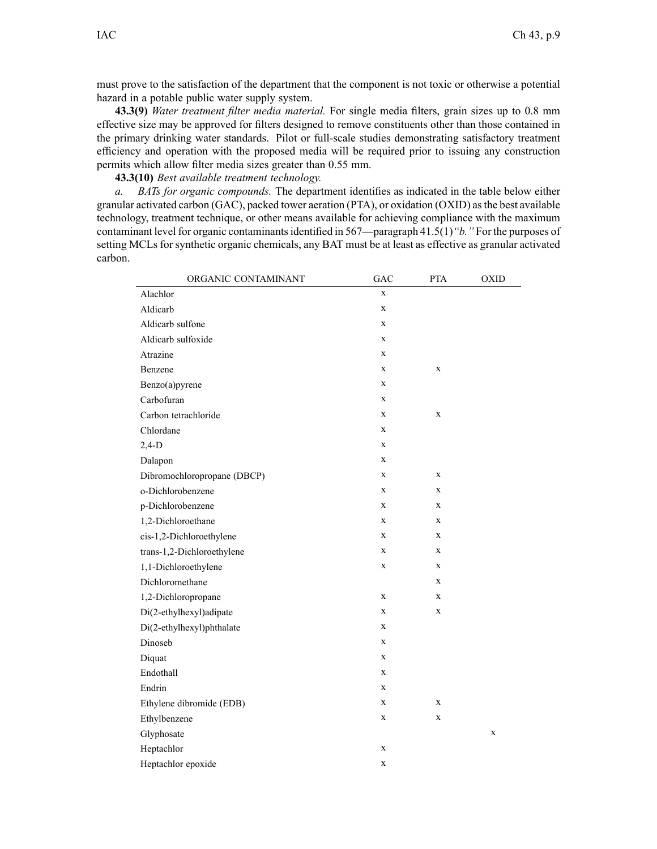must prove to the satisfaction of the department that the componen<sup>t</sup> is not toxic or otherwise <sup>a</sup> potential hazard in <sup>a</sup> potable public water supply system.

**43.3(9)** *Water treatment filter media material.* For single media filters, grain sizes up to 0.8 mm effective size may be approved for filters designed to remove constituents other than those contained in the primary drinking water standards. Pilot or full-scale studies demonstrating satisfactory treatment efficiency and operation with the proposed media will be required prior to issuing any construction permits which allow filter media sizes greater than 0.55 mm.

**43.3(10)** *Best available treatment technology.*

*a. BATs for organic compounds.* The department identifies as indicated in the table below either granular activated carbon (GAC), packed tower aeration (PTA), or oxidation (OXID) asthe best available technology, treatment technique, or other means available for achieving compliance with the maximum contaminant level for organic contaminantsidentified in 567—paragraph 41.5(1)*"b."* For the purposes of setting MCLs for synthetic organic chemicals, any BAT must be at least as effective as granular activated carbon.

| ORGANIC CONTAMINANT         | GAC         | <b>PTA</b>  | <b>OXID</b> |
|-----------------------------|-------------|-------------|-------------|
| Alachlor                    | $\mathbf X$ |             |             |
| Aldicarb                    | X           |             |             |
| Aldicarb sulfone            | $\mathbf X$ |             |             |
| Aldicarb sulfoxide          | $\mathbf X$ |             |             |
| Atrazine                    | $\mathbf X$ |             |             |
| Benzene                     | $\mathbf X$ | $\mathbf X$ |             |
| Benzo(a)pyrene              | X           |             |             |
| Carbofuran                  | $\mathbf X$ |             |             |
| Carbon tetrachloride        | $\mathbf X$ | $\mathbf x$ |             |
| Chlordane                   | $\mathbf X$ |             |             |
| $2,4-D$                     | $\mathbf X$ |             |             |
| Dalapon                     | $\mathbf X$ |             |             |
| Dibromochloropropane (DBCP) | $\mathbf X$ | X           |             |
| o-Dichlorobenzene           | X           | X           |             |
| p-Dichlorobenzene           | X           | X           |             |
| 1,2-Dichloroethane          | X           | X           |             |
| cis-1,2-Dichloroethylene    | X           | X           |             |
| trans-1,2-Dichloroethylene  | $\mathbf X$ | X           |             |
| 1,1-Dichloroethylene        | X           | X           |             |
| Dichloromethane             |             | X           |             |
| 1,2-Dichloropropane         | $\mathbf X$ | X           |             |
| Di(2-ethylhexyl)adipate     | $\mathbf X$ | X           |             |
| Di(2-ethylhexyl)phthalate   | $\mathbf X$ |             |             |
| Dinoseb                     | X           |             |             |
| Diquat                      | $\mathbf X$ |             |             |
| Endothall                   | $\mathbf X$ |             |             |
| Endrin                      | $\mathbf X$ |             |             |
| Ethylene dibromide (EDB)    | X           | X           |             |
| Ethylbenzene                | $\mathbf X$ | $\mathbf X$ |             |
| Glyphosate                  |             |             | $\mathbf X$ |
| Heptachlor                  | $\mathbf X$ |             |             |
| Heptachlor epoxide          | $\mathbf X$ |             |             |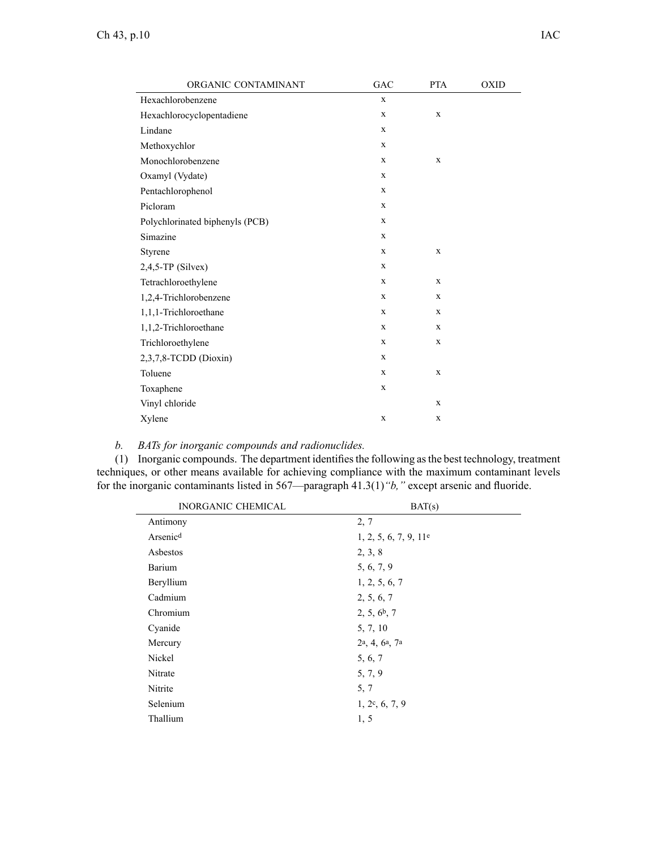| ORGANIC CONTAMINANT             | $_{\mathrm{GAC}}$ | <b>PTA</b>  | <b>OXID</b> |
|---------------------------------|-------------------|-------------|-------------|
| Hexachlorobenzene               | $\mathbf X$       |             |             |
| Hexachlorocyclopentadiene       | $\mathbf X$       | $\mathbf X$ |             |
| Lindane                         | $\mathbf X$       |             |             |
| Methoxychlor                    | $\mathbf X$       |             |             |
| Monochlorobenzene               | $\mathbf X$       | $\mathbf X$ |             |
| Oxamyl (Vydate)                 | X                 |             |             |
| Pentachlorophenol               | $\mathbf X$       |             |             |
| Picloram                        | $\mathbf X$       |             |             |
| Polychlorinated biphenyls (PCB) | $\mathbf X$       |             |             |
| Simazine                        | $\mathbf X$       |             |             |
| Styrene                         | $\mathbf X$       | $\mathbf X$ |             |
| $2,4,5$ -TP (Silvex)            | $\mathbf X$       |             |             |
| Tetrachloroethylene             | $\mathbf X$       | $\mathbf X$ |             |
| 1,2,4-Trichlorobenzene          | $\mathbf X$       | X           |             |
| 1,1,1-Trichloroethane           | $\mathbf X$       | $\mathbf X$ |             |
| 1,1,2-Trichloroethane           | $\mathbf X$       | $\mathbf X$ |             |
| Trichloroethylene               | $\mathbf X$       | $\mathbf X$ |             |
| 2,3,7,8-TCDD (Dioxin)           | $\mathbf X$       |             |             |
| Toluene                         | $\mathbf X$       | $\mathbf X$ |             |
| Toxaphene                       | $\mathbf X$       |             |             |
| Vinyl chloride                  |                   | $\mathbf X$ |             |
| Xylene                          | $\mathbf X$       | $\mathbf X$ |             |

# *b. BATs for inorganic compounds and radionuclides.*

(1) Inorganic compounds. The department identifiesthe following asthe best technology, treatment techniques, or other means available for achieving compliance with the maximum contaminant levels for the inorganic contaminants listed in 567—paragraph 41.3(1)*"b,"* excep<sup>t</sup> arsenic and fluoride.

| <b>INORGANIC CHEMICAL</b> | BAT(s)                                              |  |
|---------------------------|-----------------------------------------------------|--|
| Antimony                  | 2, 7                                                |  |
| Arsenic <sup>d</sup>      | 1, 2, 5, 6, 7, 9, 11 <sup>e</sup>                   |  |
| Asbestos                  | 2, 3, 8                                             |  |
| Barium                    | 5, 6, 7, 9                                          |  |
| Beryllium                 | 1, 2, 5, 6, 7                                       |  |
| Cadmium                   | 2, 5, 6, 7                                          |  |
| Chromium                  | $2, 5, 6^b, 7$                                      |  |
| Cyanide                   | 5, 7, 10                                            |  |
| Mercury                   | 2 <sup>a</sup> , 4, 6 <sup>a</sup> , 7 <sup>a</sup> |  |
| Nickel                    | 5, 6, 7                                             |  |
| Nitrate                   | 5, 7, 9                                             |  |
| Nitrite                   | 5, 7                                                |  |
| Selenium                  | 1, 2c, 6, 7, 9                                      |  |
| Thallium                  | 1, 5                                                |  |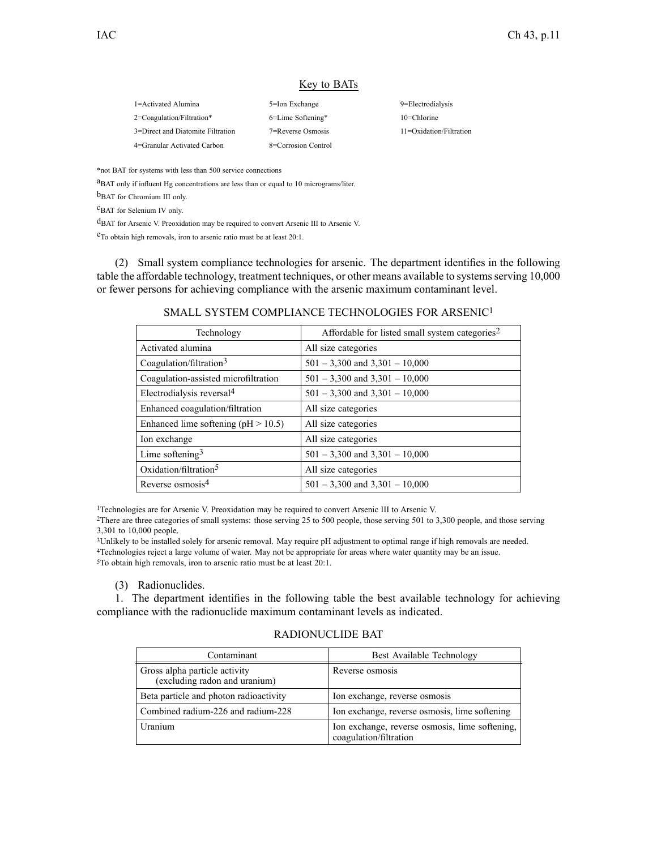## Key to BATs

| 1=Activated Alumina               | 5=Ion Exchange      | 9=Electrodialysis    |
|-----------------------------------|---------------------|----------------------|
| $2$ =Coagulation/Filtration*      | 6=Lime Softening*   | $10$ =Chlorine       |
| 3=Direct and Diatomite Filtration | 7=Reverse Osmosis   | $11 = Oxidation$ Fil |
| 4=Granular Activated Carbon       | 8=Corrosion Control |                      |
|                                   |                     |                      |

 $1=Ox$  idation/Filtration

\*not BAT for systems with less than 500 service connections

<sup>a</sup>BAT only if influent Hg concentrations are less than or equal to 10 micrograms/liter

b BAT for Chromium III only.

c BAT for Selenium IV only.

d BAT for Arsenic V. Preoxidation may be required to convert Arsenic III to Arsenic V.

e To obtain high removals, iron to arsenic ratio must be at least 20:1.

(2) Small system compliance technologies for arsenic. The department identifies in the following table the affordable technology, treatment techniques, or other means available to systems serving 10,000 or fewer persons for achieving compliance with the arsenic maximum contaminant level.

## SMALL SYSTEM COMPLIANCE TECHNOLOGIES FOR ARSENIC<sup>1</sup>

| Technology                              | Affordable for listed small system categories <sup>2</sup> |
|-----------------------------------------|------------------------------------------------------------|
| Activated alumina                       | All size categories                                        |
| Coagulation/filtration $3$              | $501 - 3,300$ and $3,301 - 10,000$                         |
| Coagulation-assisted microfiltration    | $501 - 3,300$ and $3,301 - 10,000$                         |
| Electrodialysis reversal <sup>4</sup>   | $501 - 3,300$ and $3,301 - 10,000$                         |
| Enhanced coagulation/filtration         | All size categories                                        |
| Enhanced lime softening ( $pH > 10.5$ ) | All size categories                                        |
| Ion exchange                            | All size categories                                        |
| Lime softening $3$                      | $501 - 3,300$ and $3,301 - 10,000$                         |
| Oxidation/filtration <sup>5</sup>       | All size categories                                        |
| Reverse osmosis <sup>4</sup>            | $501 - 3,300$ and $3,301 - 10,000$                         |

<sup>1</sup>Technologies are for Arsenic V. Preoxidation may be required to convert Arsenic III to Arsenic V.

<sup>2</sup>There are three categories of small systems: those serving 25 to 500 people, those serving 501 to 3,300 people, and those serving 3,301 to 10,000 people.

<sup>3</sup>Unlikely to be installed solely for arsenic removal. May require pH adjustment to optimal range if high removals are needed. <sup>4</sup>Technologies reject <sup>a</sup> large volume of water. May not be appropriate for areas where water quantity may be an issue.

<sup>5</sup>To obtain high removals, iron to arsenic ratio must be at least 20:1.

(3) Radionuclides.

1. The department identifies in the following table the best available technology for achieving compliance with the radionuclide maximum contaminant levels as indicated.

## Contaminant Best Available Technology Gross alpha particle activity (excluding radon and uranium) Reverse osmosis Beta particle and photon radioactivity Ion exchange, reverse osmosis Combined radium-226 and radium-228 Ion exchange, reverse osmosis, lime softening Uranium Ion exchange, reverse osmosis, lime softening, coagulation/filtration

#### RADIONUCLIDE BAT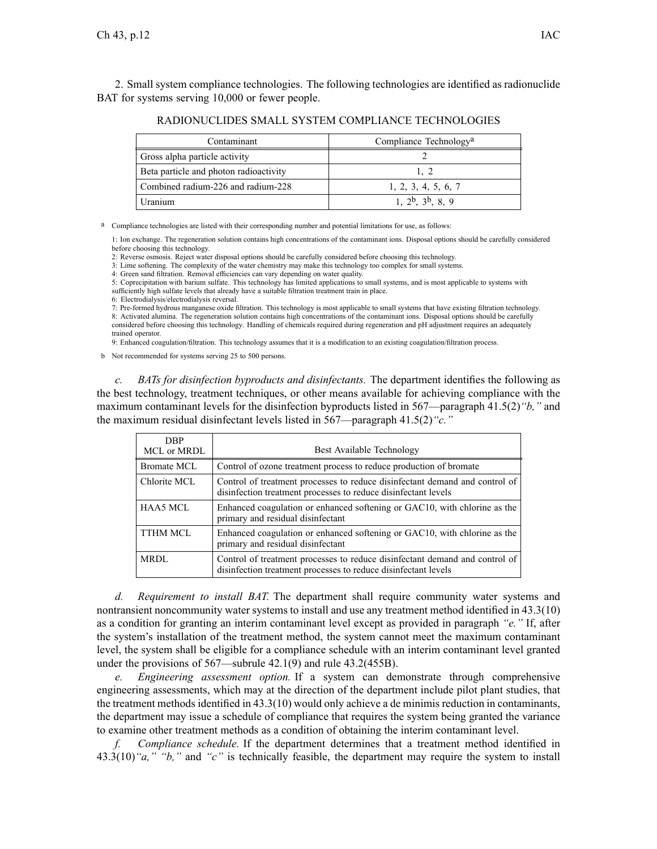2. Small system compliance technologies. The following technologies are identified as radionuclide BAT for systems serving 10,000 or fewer people.

| Contaminant                            | Compliance Technology <sup>a</sup> |
|----------------------------------------|------------------------------------|
| Gross alpha particle activity          |                                    |
| Beta particle and photon radioactivity | 1. 2                               |
| Combined radium-226 and radium-228     | 1, 2, 3, 4, 5, 6, 7                |
| Uranium                                | $1, 2^b, 3^b, 8, 9$                |

RADIONUCLIDES SMALL SYSTEM COMPLIANCE TECHNOLOGIES

<sup>a</sup> Compliance technologies are listed with their corresponding number and potential limitations for use, as follows:

1: Ion exchange. The regeneration solution contains high concentrations of the contaminant ions. Disposal options should be carefully considered before choosing this technology.

2: Reverse osmosis. Reject water disposal options should be carefully considered before choosing this technology.

3: Lime softening. The complexity of the water chemistry may make this technology too complex for small systems.

4: Green sand filtration. Removal efficiencies can vary depending on water quality.

5: Coprecipitation with barium sulfate. This technology has limited applications to small systems, and is most applicable to systems with sufficiently high sulfate levels that already have <sup>a</sup> suitable filtration treatment train in place.

6: Electrodialysis/electrodialysis reversal.

7: Pre-formed hydrous manganese oxide filtration. This technology is most applicable to small systems that have existing filtration technology. 8: Activated alumina. The regeneration solution contains high concentrations of the contaminant ions. Disposal options should be carefully considered before choosing this technology. Handling of chemicals required during regeneration and pH adjustment requires an adequately trained operator.

9: Enhanced coagulation/filtration. This technology assumes that it is <sup>a</sup> modification to an existing coagulation/filtration process.

b Not recommended for systems serving 25 to 500 persons.

*c. BATs for disinfection byproducts and disinfectants.* The department identifies the following as the best technology, treatment techniques, or other means available for achieving compliance with the maximum contaminant levels for the disinfection byproducts listed in 567—paragraph 41.5(2)*"b,"* and the maximum residual disinfectant levels listed in 567—paragraph 41.5(2)*"c."*

| DBP<br><b>MCL</b> or <b>MRDL</b> | Best Available Technology                                                                                                                     |
|----------------------------------|-----------------------------------------------------------------------------------------------------------------------------------------------|
| <b>Bromate MCL</b>               | Control of ozone treatment process to reduce production of bromate                                                                            |
| Chlorite MCL                     | Control of treatment processes to reduce disinfectant demand and control of<br>disinfection treatment processes to reduce disinfectant levels |
| HAA5 MCL                         | Enhanced coagulation or enhanced softening or GAC10, with chlorine as the<br>primary and residual disinfectant                                |
| TTHM MCL                         | Enhanced coagulation or enhanced softening or GAC10, with chlorine as the<br>primary and residual disinfectant                                |
| <b>MRDL</b>                      | Control of treatment processes to reduce disinfectant demand and control of<br>disinfection treatment processes to reduce disinfectant levels |

*d. Requirement to install BAT.* The department shall require community water systems and nontransient noncommunity water systems to install and use any treatment method identified in 43.3(10) as <sup>a</sup> condition for granting an interim contaminant level excep<sup>t</sup> as provided in paragraph *"e."* If, after the system's installation of the treatment method, the system cannot meet the maximum contaminant level, the system shall be eligible for <sup>a</sup> compliance schedule with an interim contaminant level granted under the provisions of 567—subrule 42.1(9) and rule 43.2(455B).

*e. Engineering assessment option.* If <sup>a</sup> system can demonstrate through comprehensive engineering assessments, which may at the direction of the department include pilot plant studies, that the treatment methods identified in 43.3(10) would only achieve <sup>a</sup> de minimis reduction in contaminants, the department may issue <sup>a</sup> schedule of compliance that requires the system being granted the variance to examine other treatment methods as <sup>a</sup> condition of obtaining the interim contaminant level.

*f. Compliance schedule.* If the department determines that <sup>a</sup> treatment method identified in 43.3(10)*"a," "b,"* and *"c"* is technically feasible, the department may require the system to install